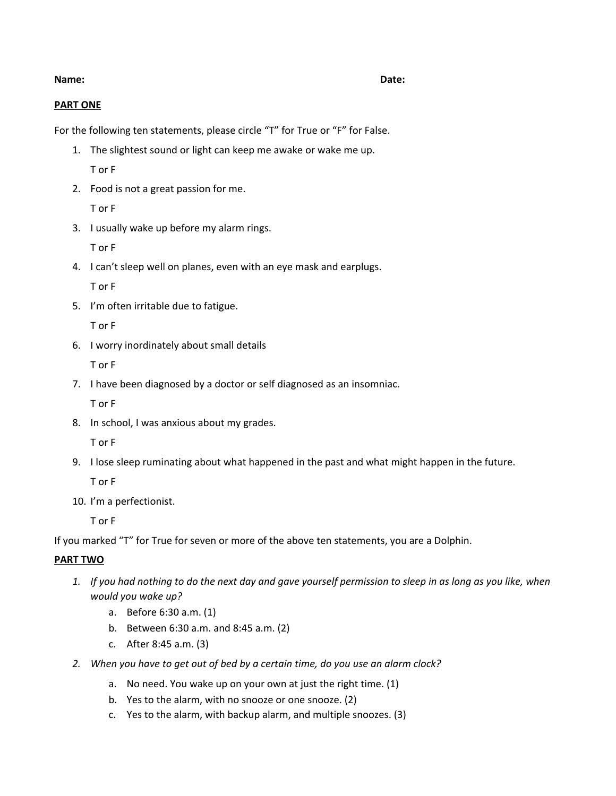### **Name: Date:**

## **PART ONE**

For the following ten statements, please circle "T" for True or "F" for False.

- 1. The slightest sound or light can keep me awake or wake me up. T or F
- 2. Food is not a great passion for me.

T or F

3. I usually wake up before my alarm rings.

T or F

4. I can't sleep well on planes, even with an eye mask and earplugs.

T or F

5. I'm often irritable due to fatigue.

T or F

6. I worry inordinately about small details

T or F

7. I have been diagnosed by a doctor or self diagnosed as an insomniac.

T or F

8. In school, I was anxious about my grades.

T or F

9. I lose sleep ruminating about what happened in the past and what might happen in the future.

T or F

10. I'm a perfectionist.

T or F

If you marked "T" for True for seven or more of the above ten statements, you are a Dolphin.

# **PART TWO**

- 1. If you had nothing to do the next day and gave yourself permission to sleep in as long as you like, when *would you wake up?*
	- a. Before 6:30 a.m. (1)
	- b. Between 6:30 a.m. and 8:45 a.m. (2)
	- c. After 8:45 a.m. (3)
- *2. When you have to get out of bed by a certain time, do you use an alarm clock?*
	- a. No need. You wake up on your own at just the right time. (1)
	- b. Yes to the alarm, with no snooze or one snooze. (2)
	- c. Yes to the alarm, with backup alarm, and multiple snoozes. (3)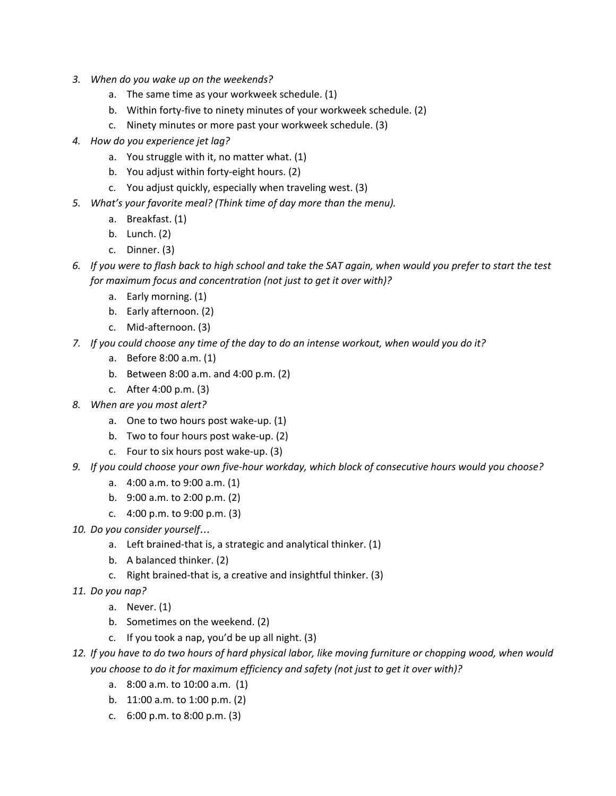- *3. When do you wake up on the weekends?*
	- a. The same time as your workweek schedule. (1)
	- b. Within forty-five to ninety minutes of your workweek schedule. (2)
	- c. Ninety minutes or more past your workweek schedule. (3)
- *4. How do you experience jet lag?*
	- a. You struggle with it, no matter what. (1)
	- b. You adjust within forty-eight hours. (2)
	- c. You adjust quickly, especially when traveling west. (3)
- *5. What's your favorite meal? (Think time of day more than the menu).*
	- a. Breakfast. (1)
	- b. Lunch. (2)
	- c. Dinner. (3)
- 6. If you were to flash back to high school and take the SAT again, when would you prefer to start the test *for maximum focus and concentration (not just to get it over with)?*
	- a. Early morning. (1)
	- b. Early afternoon. (2)
	- c. Mid-afternoon. (3)
- 7. If you could choose any time of the day to do an intense workout, when would you do it?
	- a. Before 8:00 a.m. (1)
	- b. Between 8:00 a.m. and 4:00 p.m. (2)
	- c. After 4:00 p.m. (3)
- *8. When are you most alert?*
	- a. One to two hours post wake-up. (1)
	- b. Two to four hours post wake-up. (2)
	- c. Four to six hours post wake-up. (3)
- *9. If you could choose your own five-hour workday, which block of consecutive hours would you choose?*
	- a. 4:00 a.m. to 9:00 a.m. (1)
	- b. 9:00 a.m. to 2:00 p.m. (2)
	- c. 4:00 p.m. to 9:00 p.m. (3)
- *10. Do you consider yourself*…
	- a. Left brained-that is, a strategic and analytical thinker. (1)
	- b. A balanced thinker. (2)
	- c. Right brained-that is, a creative and insightful thinker. (3)
- *11. Do you nap?*
	- a. Never. (1)
	- b. Sometimes on the weekend. (2)
	- c. If you took a nap, you'd be up all night. (3)
- 12. If you have to do two hours of hard physical labor, like moving furniture or chopping wood, when would *you choose to do it for maximum efficiency and safety (not just to get it over with)?*
	- a. 8:00 a.m. to 10:00 a.m. (1)
	- b. 11:00 a.m. to 1:00 p.m. (2)
	- c. 6:00 p.m. to 8:00 p.m. (3)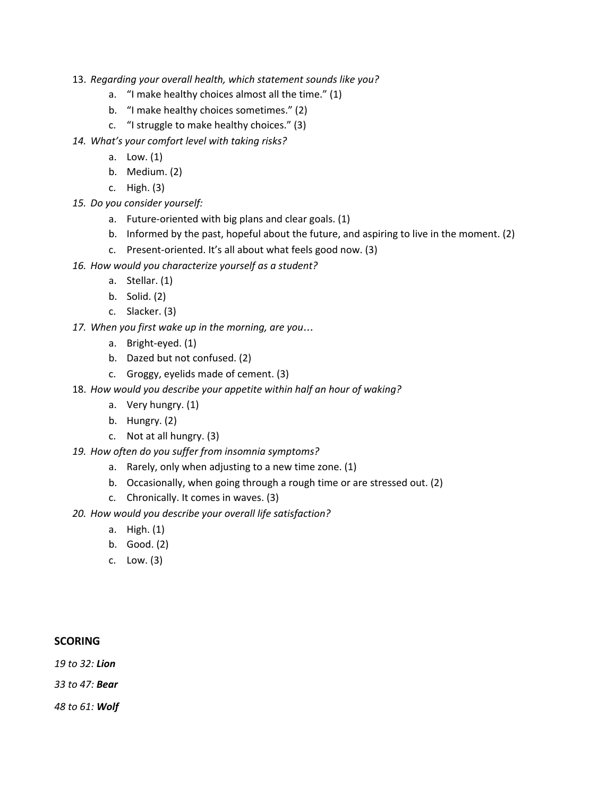- 13. *Regarding your overall health, which statement sounds like you?*
	- a. "I make healthy choices almost all the time." (1)
	- b. "I make healthy choices sometimes." (2)
	- c. "I struggle to make healthy choices." (3)
- *14. What's your comfort level with taking risks?*
	- a. Low. (1)
	- b. Medium. (2)
	- c. High. (3)
- *15. Do you consider yourself:*
	- a. Future-oriented with big plans and clear goals. (1)
	- b. Informed by the past, hopeful about the future, and aspiring to live in the moment. (2)
	- c. Present-oriented. It's all about what feels good now. (3)
- *16. How would you characterize yourself as a student?*
	- a. Stellar. (1)
	- b. Solid. (2)
	- c. Slacker. (3)
- *17. When you first wake up in the morning, are you*…
	- a. Bright-eyed. (1)
	- b. Dazed but not confused. (2)
	- c. Groggy, eyelids made of cement. (3)
- 18. *How would you describe your appetite within half an hour of waking?*
	- a. Very hungry. (1)
	- b. Hungry. (2)
	- c. Not at all hungry. (3)
- *19. How often do you suffer from insomnia symptoms?*
	- a. Rarely, only when adjusting to a new time zone. (1)
	- b. Occasionally, when going through a rough time or are stressed out. (2)
	- c. Chronically. It comes in waves. (3)
- *20. How would you describe your overall life satisfaction?*
	- a. High. (1)
	- b. Good. (2)
	- c. Low. (3)

### **SCORING**

*19 to 32: Lion*

*33 to 47: Bear*

*48 to 61: Wolf*